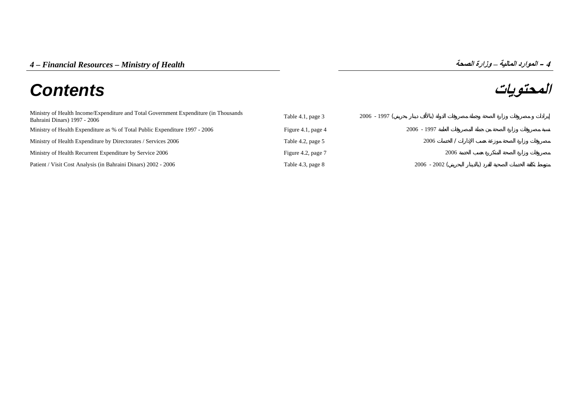# **المحتويات** *Contents*

| Ministry of Health Income/Expenditure and Total Government Expenditure (in Thousands<br>Bahraini Dinars) 1997 - 2006 | Table 4.1, page 3  | $2006 - 1997$ ( |               |      |  |
|----------------------------------------------------------------------------------------------------------------------|--------------------|-----------------|---------------|------|--|
| Ministry of Health Expenditure as % of Total Public Expenditure 1997 - 2006                                          | Figure 4.1, page 4 |                 | $2006 - 1997$ |      |  |
| Ministry of Health Expenditure by Directorates / Services 2006                                                       | Table 4.2, page 5  |                 | 2006          |      |  |
| Ministry of Health Recurrent Expenditure by Service 2006                                                             | Figure 4.2, page 7 |                 |               | 2006 |  |
| Patient / Visit Cost Analysis (in Bahraini Dinars) 2002 - 2006                                                       | Table 4.3, page 8  |                 | $2006 - 2002$ |      |  |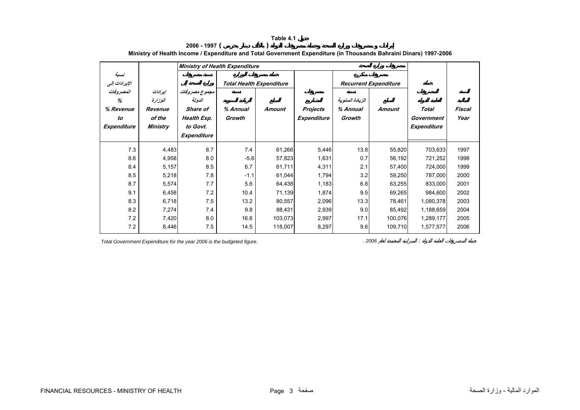<span id="page-1-0"></span>

|                                                  |                                                     | Ministry of Health Expenditure                                                |                                 |               |                              |                                       |               |                                    |                |
|--------------------------------------------------|-----------------------------------------------------|-------------------------------------------------------------------------------|---------------------------------|---------------|------------------------------|---------------------------------------|---------------|------------------------------------|----------------|
| نسبة<br>الإيرادات إلى                            |                                                     |                                                                               | <b>Total Health Expenditure</b> |               | <b>Recurrent Expenditure</b> |                                       |               |                                    |                |
| المصروفات<br>%<br>% Revenue<br>to<br>Expenditure | إيرادات<br>الوزارة<br>Revenue<br>of the<br>Ministry | مجموع مصروفات<br>الدولة<br>Share of<br>Health Exp.<br>to Govt.<br>Expenditure | % Annual<br>Growth              | <b>Amount</b> | Projects<br>Expenditure      | الزيادة السنوية<br>% Annual<br>Growth | <b>Amount</b> | Total<br>Government<br>Expenditure | Fiscal<br>Year |
| 7.3                                              | 4,483                                               | 8.7                                                                           | 7.4                             | 61,266        | 5,446                        | 13.8                                  | 55,820        | 703,633                            | 1997           |
| 8.6                                              | 4,958                                               | 8.0                                                                           | $-5.6$                          | 57,823        | 1,631                        | 0.7                                   | 56,192        | 721,252                            | 1998           |
| 8.4                                              | 5,157                                               | 8.5                                                                           | 6.7                             | 61,711        | 4,311                        | 2.1                                   | 57,400        | 724,000                            | 1999           |
| 8.5                                              | 5,218                                               | 7.8                                                                           | $-1.1$                          | 61,044        | 1,794                        | 3.2                                   | 59,250        | 787,000                            | 2000           |
| 8.7                                              | 5,574                                               | 7.7                                                                           | 5.6                             | 64,438        | 1,183                        | 6.8                                   | 63,255        | 833,000                            | 2001           |
| 9.1                                              | 6,458                                               | 7.2                                                                           | 10.4                            | 71,139        | 1,874                        | 9.5                                   | 69,265        | 984,600                            | 2002           |
| 8.3                                              | 6,718                                               | 7.5                                                                           | 13.2                            | 80,557        | 2,096                        | 13.3                                  | 78,461        | 1,080,378                          | 2003           |
| 8.2                                              | 7,274                                               | 7.4                                                                           | 9.8                             | 88,431        | 2,939                        | 9.0                                   | 85,492        | 1,188,659                          | 2004           |
| 7.2                                              | 7,420                                               | 8.0                                                                           | 16.6                            | 103,073       | 2,997                        | 17.1                                  | 100,076       | 1,289,177                          | 2005           |
| 7.2                                              | 8,446                                               | 7.5                                                                           | 14.5                            | 118,007       | 8,297                        | 9.6                                   | 109,710       | 1,577,577                          | 2006           |

**2006 - 1997 ( ) Ministry of Health Income / Expenditure and Total Government Expenditure (in Thousands Bahraini Dinars) 1997-2006**

**Table 4.1**

*Total Government Expenditure for the year 2006 is the budgeted figure. . 2006* :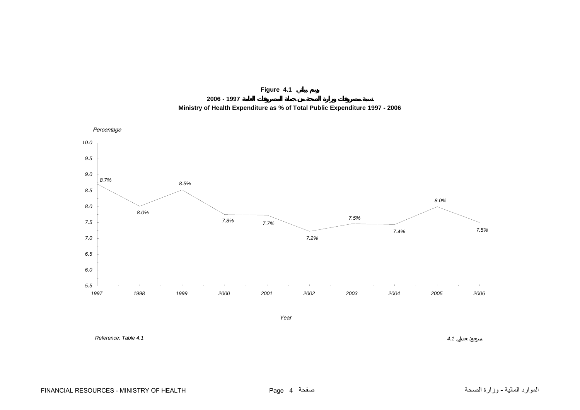

**2006 - 1997**



<span id="page-2-0"></span>

*Reference: Table 4.1*

 *4.1* $4.1$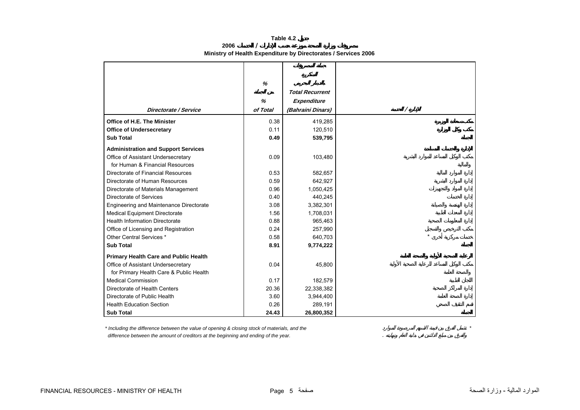**Table 4.2**

**2006/**

|  |  |  |  | Ministry of Health Expenditure by Directorates / Services 2006 |
|--|--|--|--|----------------------------------------------------------------|
|--|--|--|--|----------------------------------------------------------------|

<span id="page-3-0"></span>

|                                              | %        |                        |  |  |  |   |         |  |
|----------------------------------------------|----------|------------------------|--|--|--|---|---------|--|
|                                              |          | <b>Total Recurrent</b> |  |  |  |   |         |  |
|                                              | %        | Expenditure            |  |  |  |   |         |  |
| Directorate / Service                        | of Total | (Bahraini Dinars)      |  |  |  | Ϊ |         |  |
| Office of H.E. The Minister                  | 0.38     | 419,285                |  |  |  |   |         |  |
| <b>Office of Undersecretary</b>              | 0.11     | 120,510                |  |  |  |   |         |  |
| <b>Sub Total</b>                             | 0.49     | 539,795                |  |  |  |   |         |  |
| <b>Administration and Support Services</b>   |          |                        |  |  |  |   |         |  |
| Office of Assistant Undersecretary           | 0.09     | 103,480                |  |  |  |   |         |  |
| for Human & Financial Resources              |          |                        |  |  |  |   |         |  |
| Directorate of Financial Resources           | 0.53     | 582,657                |  |  |  |   |         |  |
| Directorate of Human Resources               | 0.59     | 642,927                |  |  |  |   |         |  |
| Directorate of Materials Management          | 0.96     | 1,050,425              |  |  |  |   |         |  |
| Directorate of Services                      | 0.40     | 440,245                |  |  |  |   |         |  |
| Engineering and Maintenance Directorate      | 3.08     | 3,382,301              |  |  |  |   |         |  |
| <b>Medical Equipment Directorate</b>         | 1.56     | 1,708,031              |  |  |  |   |         |  |
| <b>Health Information Directorate</b>        | 0.88     | 965,463                |  |  |  |   |         |  |
| Office of Licensing and Registration         | 0.24     | 257,990                |  |  |  |   |         |  |
| Other Central Services *                     | 0.58     | 640,703                |  |  |  |   | $\star$ |  |
| <b>Sub Total</b>                             | 8.91     | 9,774,222              |  |  |  |   |         |  |
| <b>Primary Health Care and Public Health</b> |          |                        |  |  |  |   |         |  |
| Office of Assistant Undersecretary           | 0.04     | 45,800                 |  |  |  |   |         |  |
| for Primary Health Care & Public Health      |          |                        |  |  |  |   |         |  |
| <b>Medical Commission</b>                    | 0.17     | 182,579                |  |  |  |   |         |  |
| Directorate of Health Centers                | 20.36    | 22,338,382             |  |  |  |   |         |  |
| Directorate of Public Health                 | 3.60     | 3,944,400              |  |  |  |   |         |  |
| <b>Health Education Section</b>              | 0.26     | 289,191                |  |  |  |   |         |  |
| <b>Sub Total</b>                             | 24.43    | 26,800,352             |  |  |  |   |         |  |

*\* Including the difference between the value of opening & closing stock of materials, and the \* difference between the amount of creditors at the beginning and ending of the year.* .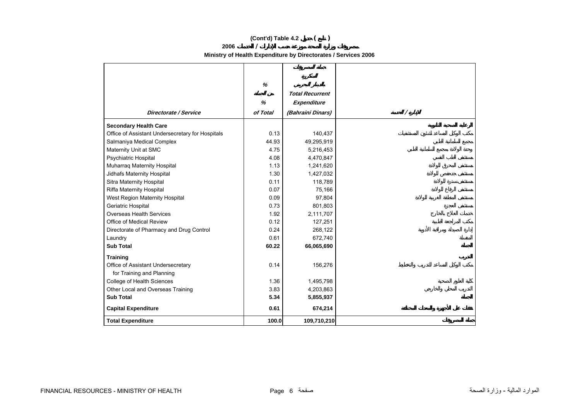# **(Cont'd) Table 4.2 ( )**

## **2006 /**  $\prime$

**Ministry of Health Expenditure by Directorates / Services 2006** 

|                                                  | $\%$     |                        |   |
|--------------------------------------------------|----------|------------------------|---|
|                                                  |          | <b>Total Recurrent</b> |   |
|                                                  | %        | Expenditure            |   |
| <b>Directorate / Service</b>                     | of Total | (Bahraini Dinars)      | Γ |
| <b>Secondary Health Care</b>                     |          |                        |   |
| Office of Assistant Undersecretary for Hospitals | 0.13     | 140,437                |   |
| Salmaniya Medical Complex                        | 44.93    | 49,295,919             |   |
| Maternity Unit at SMC                            | 4.75     | 5,216,453              |   |
| Psychiatric Hospital                             | 4.08     | 4,470,847              |   |
| Muharraq Maternity Hospital                      | 1.13     | 1,241,620              |   |
| Jidhafs Maternity Hospital                       | 1.30     | 1,427,032              |   |
| Sitra Maternity Hospital                         | 0.11     | 118,789                |   |
| Riffa Maternity Hospital                         | 0.07     | 75,166                 |   |
| West Region Maternity Hospital                   | 0.09     | 97,804                 |   |
| Geriatric Hospital                               | 0.73     | 801,803                |   |
| Overseas Health Services                         | 1.92     | 2,111,707              |   |
| Office of Medical Review                         | 0.12     | 127,251                |   |
| Directorate of Pharmacy and Drug Control         | 0.24     | 268,122                |   |
| Laundry                                          | 0.61     | 672,740                |   |
| <b>Sub Total</b>                                 | 60.22    | 66,065,690             |   |
| <b>Training</b>                                  |          |                        |   |
| Office of Assistant Undersecretary               | 0.14     | 156,276                |   |
| for Training and Planning                        |          |                        |   |
| College of Health Sciences                       | 1.36     | 1,495,798              |   |
| Other Local and Overseas Training                | 3.83     | 4,203,863              |   |
| <b>Sub Total</b>                                 | 5.34     | 5,855,937              |   |
| <b>Capital Expenditure</b>                       | 0.61     | 674,214                |   |
| <b>Total Expenditure</b>                         | 100.0    | 109,710,210            |   |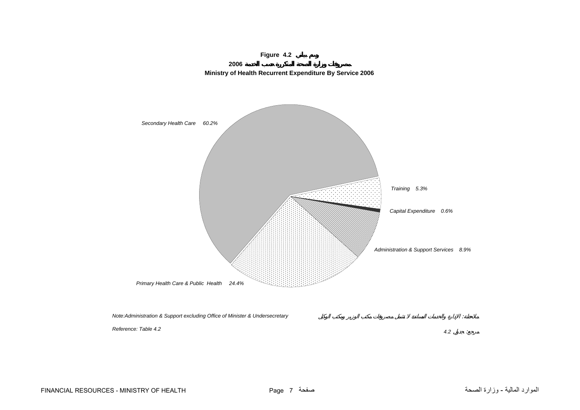<span id="page-5-0"></span>

**2006**

**Figure 4.2**

*Note:Administration & Support excluding Office of Minister & Undersecretary*

*Reference: Table 4.2*

FINANCIAL RESOURCES - MINISTRY OF HEALTH Page 7 صفحة الصحة وزارة - المالية الموارد

:

 $\mathcal{L}$ 

*4.2* :